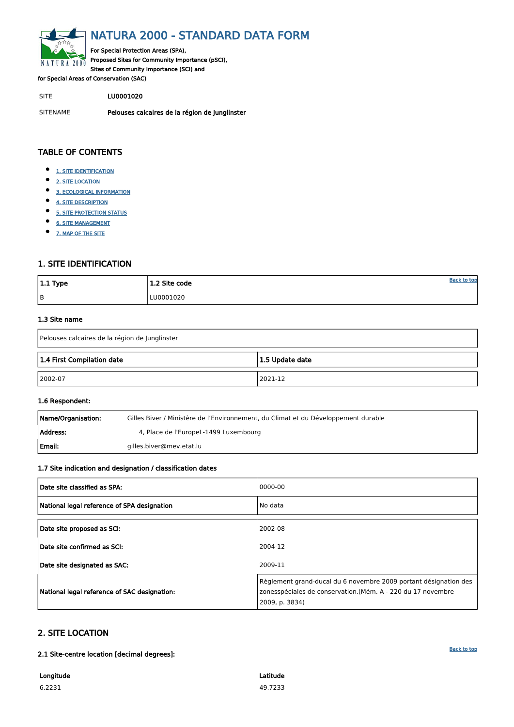<span id="page-0-0"></span>

## NATURA 2000 - STANDARD DATA FORM

For Special Protection Areas (SPA), Proposed Sites for Community Importance (pSCI), Sites of Community Importance (SCI) and

for Special Areas of Conservation (SAC)

SITE LU0001020

SITENAME Pelouses calcaires de la région de Junglinster

| $ 1.1$ Type | 1.2 Site code | <b>Back to top</b> |
|-------------|---------------|--------------------|
| B           | LU0001020     |                    |

## TABLE OF CONTENTS

- $\bullet$ [1. SITE IDENTIFICATION](#page-0-1)
- $\bullet$ [2. SITE LOCATION](#page-0-2)
- $\bullet$ [3. ECOLOGICAL INFORMATION](#page-1-0)
- $\bullet$ [4. SITE DESCRIPTION](#page-3-0)
- $\bullet$ [5. SITE PROTECTION STATUS](#page-5-0)
- $\bullet$ [6. SITE MANAGEMENT](#page-5-1)
- [7. MAP OF THE SITE](#page-6-0)  $\bullet$

| Name/Organisation: | Gilles Biver / Ministère de l'Environnement, du Climat et du Développement durable |
|--------------------|------------------------------------------------------------------------------------|
| Address:           | 4, Place de l'EuropeL-1499 Luxembourg                                              |
| Email:             | gilles.biver@mev.etat.lu                                                           |

## <span id="page-0-1"></span>1. SITE IDENTIFICATION

#### 1.3 Site name

| Pelouses calcaires de la région de Junglinster |                 |  |  |  |  |  |  |  |
|------------------------------------------------|-----------------|--|--|--|--|--|--|--|
| 1.4 First Compilation date                     | 1.5 Update date |  |  |  |  |  |  |  |
| $ 2002-07$                                     | 2021-12         |  |  |  |  |  |  |  |

#### 1.6 Respondent:

#### 1.7 Site indication and designation / classification dates

| Date site classified as SPA:                | 0000-00 |
|---------------------------------------------|---------|
| National legal reference of SPA designation | No data |
| Date site proposed as SCI:                  | 2002-08 |
| Date site confirmed as SCI:                 | 2004-12 |

| Date site designated as SAC:                 | 2009-11                                                                                                                                           |
|----------------------------------------------|---------------------------------------------------------------------------------------------------------------------------------------------------|
| National legal reference of SAC designation: | Règlement grand-ducal du 6 novembre 2009 portant désignation des<br>zonesspéciales de conservation.(Mém. A - 220 du 17 novembre<br>2009, p. 3834) |

## <span id="page-0-2"></span>2. SITE LOCATION

2.1 Site-centre location [decimal degrees]:

Longitude 6.2231

Latitude 49.7233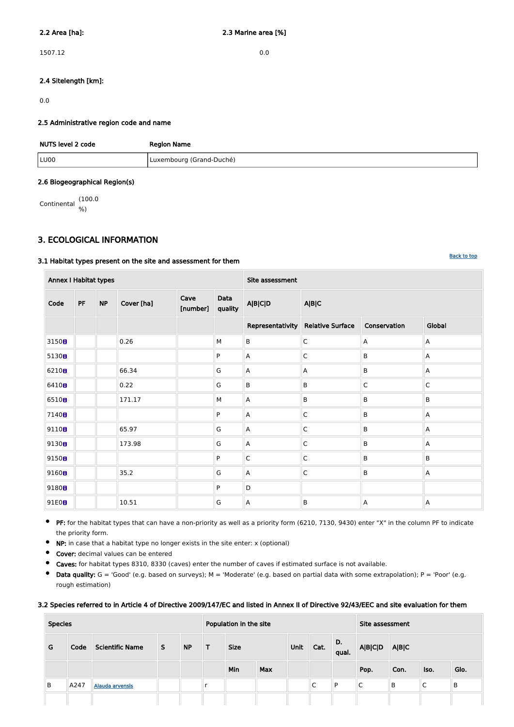1507.12 0.0

### 2.4 Sitelength [km]:

0.0

#### 2.5 Administrative region code and name

| NUTS level 2 code | <b>Region Name</b>       |
|-------------------|--------------------------|
| LU00              | Luxembourg (Grand-Duché) |

#### 2.6 Biogeographical Region(s)

Continental (100.0 %)

### <span id="page-1-0"></span>3. ECOLOGICAL INFORMATION

#### 3.1 Habitat types present on the site and assessment for them

PF: for the habitat types that can have a non-priority as well as a priority form (6210, 7130, 9430) enter "X" in the column PF to indicate  $\bullet$ the priority form.

NP: in case that a habitat type no longer exists in the site enter: x (optional)  $\bullet$ 

| <b>Annex I Habitat types</b> |           |           |            |                  |                 | Site assessment  |                         |                         |                |  |  |
|------------------------------|-----------|-----------|------------|------------------|-----------------|------------------|-------------------------|-------------------------|----------------|--|--|
| Code                         | <b>PF</b> | <b>NP</b> | Cover [ha] | Cave<br>[number] | Data<br>quality | <b>A B C D</b>   | A B C                   |                         |                |  |  |
|                              |           |           |            |                  |                 | Representativity | <b>Relative Surface</b> | Conservation            | Global         |  |  |
| 3150 <sub>0</sub>            |           |           | 0.26       |                  | M               | $\sf B$          | $\mathsf C$             | A                       | Α              |  |  |
| 5130B                        |           |           |            |                  | P               | A                | $\mathsf C$             | B                       | Α              |  |  |
| 6210 <sub>B</sub>            |           |           | 66.34      |                  | G               | A                | A                       | $\sf B$                 | Α              |  |  |
| 6410B                        |           |           | 0.22       |                  | G               | B                | B                       | $\overline{\mathsf{C}}$ | $\mathsf C$    |  |  |
| 6510B                        |           |           | 171.17     |                  | M               | A                | B                       | B                       | B              |  |  |
| 7140 <sub>8</sub>            |           |           |            |                  | P               | A                | $\mathsf{C}$            | B                       | А              |  |  |
| 9110 <sub>0</sub>            |           |           | 65.97      |                  | G               | A                | $\mathsf C$             | B                       | A              |  |  |
| 9130 <sub>0</sub>            |           |           | 173.98     |                  | G               | A                | $\mathsf C$             | B                       | Α              |  |  |
| 9150B                        |           |           |            |                  | P               | $\mathsf C$      | $\mathsf C$             | B                       | B              |  |  |
| 9160 <sub>0</sub>            |           |           | 35.2       |                  | G               | A                | $\mathsf C$             | B                       | A              |  |  |
| 9180 <sub>0</sub>            |           |           |            |                  | P               | D                |                         |                         |                |  |  |
| 91E0B                        |           |           | 10.51      |                  | G               | $\overline{A}$   | B                       | $\overline{\mathsf{A}}$ | $\overline{A}$ |  |  |

- $\bullet$ Cover: decimal values can be entered
- $\bullet$ Caves: for habitat types 8310, 8330 (caves) enter the number of caves if estimated surface is not available.
- $\bullet$ Data quality:  $G = 'Good'$  (e.g. based on surveys);  $M = 'Modern'$  (e.g. based on partial data with some extrapolation);  $P = 'Poor'$  (e.g. rough estimation)

#### 3.2 Species referred to in Article 4 of Directive 2009/147/EC and listed in Annex II of Directive 92/43/EEC and site evaluation for them

| <b>Species</b> |      |                        |   | Population in the site |   |             |            |      |                 | Site assessment |                |       |                 |      |
|----------------|------|------------------------|---|------------------------|---|-------------|------------|------|-----------------|-----------------|----------------|-------|-----------------|------|
| G              | Code | <b>Scientific Name</b> | S | <b>NP</b>              | т | <b>Size</b> |            | Unit | Cat.            | D.<br>qual.     | <b>A B C D</b> | A B C |                 |      |
|                |      |                        |   |                        |   | Min         | <b>Max</b> |      |                 |                 | Pop.           | Con.  | Iso.            | Glo. |
| B              | A247 | <b>Alauda arvensis</b> |   |                        |   |             |            |      | $\sqrt{2}$<br>◡ | D               | ⌒<br>◡         | B     | $\sqrt{ }$<br>◡ | B    |
|                |      |                        |   |                        |   |             |            |      |                 |                 |                |       |                 |      |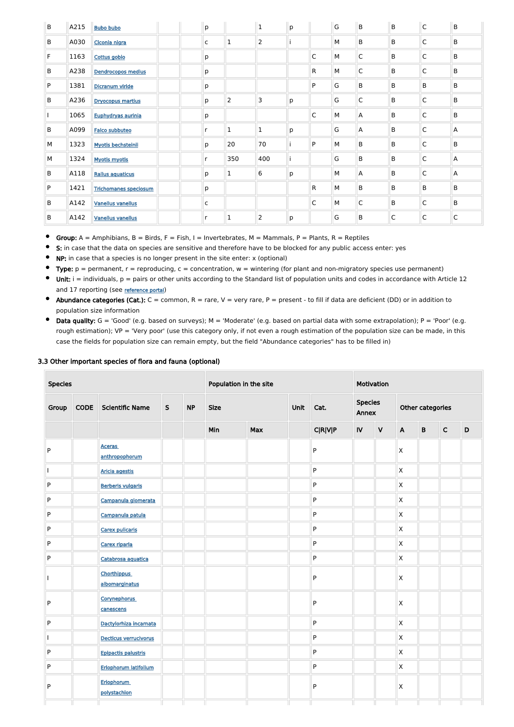| $\sf B$ | A215 | <b>Bubo bubo</b>             | p            |                | $\mathbf 1$    | p |    | $\overline{G}$ | B            | $\sf B$     | $\mathsf{C}$ | B              |
|---------|------|------------------------------|--------------|----------------|----------------|---|----|----------------|--------------|-------------|--------------|----------------|
| B       | A030 | Ciconia nigra                | $\mathsf{C}$ | $\mathbf 1$    | $\overline{2}$ |   |    | М              | B            | B           | $\mathsf{C}$ | B              |
| F       | 1163 | Cottus gobio                 | р            |                |                |   | C  | М              | $\mathsf{C}$ | B           | $\mathsf{C}$ | B              |
| B       | A238 | <b>Dendrocopos medius</b>    | р            |                |                |   | R. | М              | C            | B           | $\mathsf{C}$ | B              |
| P       | 1381 | Dicranum viride              | р            |                |                |   | P  | G              | B            | B           | B            | B              |
| B       | A236 | <b>Dryocopus martius</b>     | р            | $\overline{2}$ | 3              | p |    | G              | $\mathsf C$  | B           | $\mathsf{C}$ | B              |
|         | 1065 | Euphydryas aurinia           | р            |                |                |   | C  | М              | A            | B           | $\mathsf{C}$ | B              |
| B       | A099 | <b>Falco subbuteo</b>        | r            | $\mathbf{1}$   | $\mathbf{1}$   | p |    | G              | A            | B           | $\mathsf{C}$ | $\overline{A}$ |
| M       | 1323 | <b>Myotis bechsteinii</b>    | р            | 20             | 70             |   | P  | М              | B            | B           | $\mathsf{C}$ | B              |
| M       | 1324 | <b>Myotis myotis</b>         | r            | 350            | 400            |   |    | G              | B            | B           | $\mathsf{C}$ | $\overline{A}$ |
| B       | A118 | <b>Rallus aquaticus</b>      | p            | $\mathbf{1}$   | 6              | p |    | М              | A            | B           | $\mathsf{C}$ | $\overline{A}$ |
| P       | 1421 | <b>Trichomanes speciosum</b> | р            |                |                |   | R. | M              | B            | B           | B            | B              |
| B       | A142 | <b>Vanellus vanellus</b>     | $\mathsf{C}$ |                |                |   | C  | М              | C            | B           | $\mathsf{C}$ | B              |
| B       | A142 | <b>Vanellus vanellus</b>     | r            | $\mathbf{1}$   | $\overline{2}$ | p |    | G              | B            | $\mathsf C$ | $\mathsf{C}$ | $\mathsf C$    |

 $\bullet$ Group:  $A =$  Amphibians,  $B =$  Birds,  $F =$  Fish, I = Invertebrates, M = Mammals, P = Plants, R = Reptiles

- $\bullet$ S: in case that the data on species are sensitive and therefore have to be blocked for any public access enter: yes
- $\bullet$ NP: in case that a species is no longer present in the site enter: x (optional)
- Type:  $p =$  permanent,  $r =$  reproducing,  $c =$  concentration,  $w =$  wintering (for plant and non-migratory species use permanent)  $\bullet$
- $\bullet$  Unit: i = individuals,  $p =$  pairs or other units according to the Standard list of population units and codes in accordance with Article 12 and 17 reporting (see [reference portal](http://bd.eionet.europa.eu/activities/Natura_2000/reference_portal))
- Abundance categories (Cat.):  $C =$  common,  $R =$  rare,  $V =$  very rare,  $P =$  present to fill if data are deficient (DD) or in addition to population size information
- $\bullet$  Data quality:  $G = 'Good'$  (e.g. based on surveys);  $M = 'Modern'$  (e.g. based on partial data with some extrapolation);  $P = 'Poor'$  (e.g. rough estimation); VP = 'Very poor' (use this category only, if not even a rough estimation of the population size can be made, in this case the fields for population size can remain empty, but the field "Abundance categories" has to be filled in)

#### 3.3 Other important species of flora and fauna (optional)

|                 | <b>Species</b> |                                      |              | Population in the site |             |            |      |                | Motivation              |              |                  |                 |             |             |  |
|-----------------|----------------|--------------------------------------|--------------|------------------------|-------------|------------|------|----------------|-------------------------|--------------|------------------|-----------------|-------------|-------------|--|
| Group           | <b>CODE</b>    | <b>Scientific Name</b>               | $\mathsf{S}$ | <b>NP</b>              | <b>Size</b> |            | Unit | Cat.           | <b>Species</b><br>Annex |              | Other categories |                 |             |             |  |
|                 |                |                                      |              |                        | Min         | <b>Max</b> |      | <b>C R V P</b> | <b>IV</b>               | $\mathsf{V}$ | $\mathbf{A}$     | $\, {\bf B} \,$ | $\mathsf C$ | $\mathsf D$ |  |
| ${\sf P}$       |                | <b>Aceras</b><br>anthropophorum      |              |                        |             |            |      | P              |                         |              | Χ                |                 |             |             |  |
|                 |                | <b>Aricia agestis</b>                |              |                        |             |            |      | P              |                         |              | X                |                 |             |             |  |
| ${\sf P}$       |                | <b>Berberis vulgaris</b>             |              |                        |             |            |      | ${\sf P}$      |                         |              | Χ                |                 |             |             |  |
| ${\sf P}$       |                | Campanula glomerata                  |              |                        |             |            |      | P              |                         |              | X                |                 |             |             |  |
| ${\sf P}$       |                | Campanula patula                     |              |                        |             |            |      | ${\sf P}$      |                         |              | Χ                |                 |             |             |  |
| ${\sf P}$       |                | <b>Carex pulicaris</b>               |              |                        |             |            |      | P              |                         |              | X                |                 |             |             |  |
| ${\sf P}$       |                | Carex riparia                        |              |                        |             |            |      | ${\sf P}$      |                         |              | Χ                |                 |             |             |  |
| P               |                | Catabrosa aquatica                   |              |                        |             |            |      | P              |                         |              | Χ                |                 |             |             |  |
|                 |                | <b>Chorthippus</b><br>albomarginatus |              |                        |             |            |      | ${\sf P}$      |                         |              | Χ                |                 |             |             |  |
| ${\sf P}$       |                | <b>Corynephorus</b><br>canescens     |              |                        |             |            |      | ${\sf P}$      |                         |              | Χ                |                 |             |             |  |
| ${\sf P}$       |                | Dactylorhiza incarnata               |              |                        |             |            |      | P              |                         |              | $\mathsf X$      |                 |             |             |  |
|                 |                | Decticus verrucivorus                |              |                        |             |            |      | ${\sf P}$      |                         |              | $\mathsf{X}$     |                 |             |             |  |
| ${\sf P}$       |                | <b>Epipactis palustris</b>           |              |                        |             |            |      | ${\sf P}$      |                         |              | X                |                 |             |             |  |
| $\vert P \vert$ |                | Eriophorum latifolium                |              |                        |             |            |      | ${\sf P}$      |                         |              | $\mathsf X$      |                 |             |             |  |
| P               |                | Eriophorum<br>polystachion           |              |                        |             |            |      | P              |                         |              | $\mathsf X$      |                 |             |             |  |
|                 |                |                                      |              |                        |             |            |      |                |                         |              |                  |                 |             |             |  |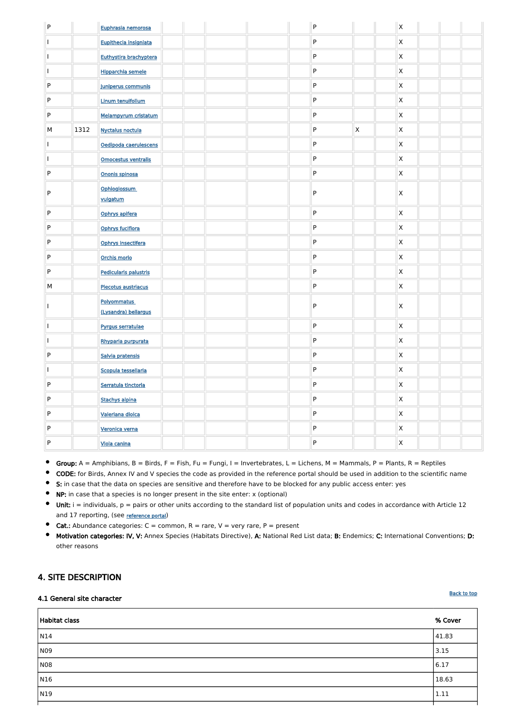| ${\sf P}$ |      | Euphrasia nemorosa                         |  |  | P |             | $\mathsf{X}$            |  |  |
|-----------|------|--------------------------------------------|--|--|---|-------------|-------------------------|--|--|
|           |      | Eupithecia insigniata                      |  |  | P |             | $\mathsf{X}$            |  |  |
|           |      | Euthystira brachyptera                     |  |  | P |             | $\mathsf{\overline{X}}$ |  |  |
|           |      | <b>Hipparchia semele</b>                   |  |  | P |             | $\mathsf{X}$            |  |  |
| ${\sf P}$ |      | Juniperus communis                         |  |  | P |             | $\mathsf{X}$            |  |  |
| ${\sf P}$ |      | <b>Linum tenuifolium</b>                   |  |  | P |             | $\mathsf{X}$            |  |  |
| ${\sf P}$ |      | Melampyrum cristatum                       |  |  | P |             | $\mathsf{X}$            |  |  |
| M         | 1312 | <b>Nyctalus noctula</b>                    |  |  | P | $\mathsf X$ | $\mathsf{X}$            |  |  |
|           |      | Oedipoda caerulescens                      |  |  | P |             | $\mathsf{X}$            |  |  |
|           |      | Omocestus ventralis                        |  |  | P |             | $\mathsf{X}$            |  |  |
| ${\sf P}$ |      | Ononis spinosa                             |  |  | P |             | $\mathsf{X}$            |  |  |
| P         |      | Ophioglossum<br>vulgatum                   |  |  | P |             | $\mathsf{X}$            |  |  |
| ${\sf P}$ |      | Ophrys apifera                             |  |  | P |             | $\mathsf{X}$            |  |  |
| ${\sf P}$ |      | Ophrys fuciflora                           |  |  | P |             | $\mathsf{X}$            |  |  |
| ${\sf P}$ |      | Ophrys insectifera                         |  |  | P |             | $\mathsf{X}$            |  |  |
| ${\sf P}$ |      | Orchis morio                               |  |  | P |             | $\mathsf{X}$            |  |  |
| ${\sf P}$ |      | Pedicularis palustris                      |  |  | P |             | $\mathsf{X}$            |  |  |
| M         |      | <b>Plecotus austriacus</b>                 |  |  | P |             | $\mathsf{X}$            |  |  |
|           |      | <b>Polyommatus</b><br>(Lysandra) bellargus |  |  | P |             | $\mathsf{\overline{X}}$ |  |  |
|           |      | Pyrgus serratulae                          |  |  | P |             | $\mathsf{X}$            |  |  |
|           |      | Rhyparia purpurata                         |  |  | P |             | $\mathsf{X}$            |  |  |
| ${\sf P}$ |      | Salvia pratensis                           |  |  | P |             | $\mathsf{X}$            |  |  |
|           |      | Scopula tessellaria                        |  |  | P |             | $\mathsf{X}$            |  |  |
| ${\sf P}$ |      | Serratula tinctoria                        |  |  | P |             | $\mathsf{X}$            |  |  |
| P         |      | <b>Stachys alpina</b>                      |  |  | P |             | $\mathsf{X}$            |  |  |
| ${\sf P}$ |      | <b>Valeriana dioica</b>                    |  |  | P |             | $\mathsf{X}$            |  |  |
| P         |      | Veronica verna                             |  |  | P |             | $\mathsf{X}$            |  |  |
| ${\sf P}$ |      | <b>Viola canina</b>                        |  |  | P |             | $\mathsf{X}$            |  |  |

 $\bullet$ Group:  $A =$  Amphibians,  $B =$  Birds,  $F =$  Fish,  $Fu =$  Fungi,  $I =$  Invertebrates,  $L =$  Lichens,  $M =$  Mammals,  $P =$  Plants,  $R =$  Reptiles

 $\bullet$ CODE: for Birds, Annex IV and V species the code as provided in the reference portal should be used in addition to the scientific name

- S: in case that the data on species are sensitive and therefore have to be blocked for any public access enter: yes  $\bullet$
- NP: in case that a species is no longer present in the site enter: x (optional)  $\bullet$
- $\bullet$ Unit:  $i =$  individuals,  $p =$  pairs or other units according to the standard list of population units and codes in accordance with Article 12 and 17 reporting, (see [reference portal](http://bd.eionet.europa.eu/activities/Natura_2000/reference_portal))
- $\bullet$ **Cat.:** Abundance categories:  $C =$  common,  $R =$  rare,  $V =$  very rare,  $P =$  present
- $\bullet$ Motivation categories: IV, V: Annex Species (Habitats Directive), A: National Red List data; B: Endemics; C: International Conventions; D: other reasons

### <span id="page-3-0"></span>4. SITE DESCRIPTION

4.1 General site character

Habitat class % Cover  $N14$   $|41.83$  $\sim$  13.15  $\sim$ NO8 and the set of the set of the set of the set of the set of the set of the set of the set of the set of the set of the set of the set of the set of the set of the set of the set of the set of the set of the set of the N $16$   $|18.63$ N19 1.11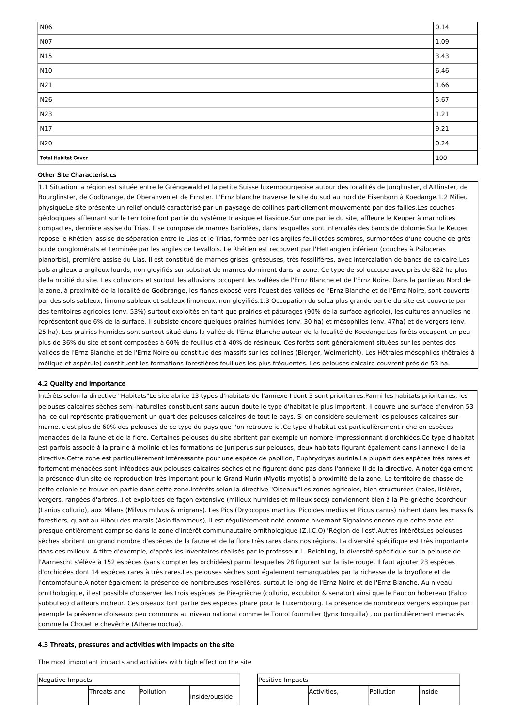| Negative Impacts | Positive Impacts |                |  |             |           |         |
|------------------|------------------|----------------|--|-------------|-----------|---------|
| Threats and      | <b>Pollution</b> | inside/outside |  | Activities, | Pollution | linside |

| NO6                 | 0.14 |
|---------------------|------|
| NO7                 | 1.09 |
| N15                 | 3.43 |
| N10                 | 6.46 |
| N21                 | 1.66 |
| N26                 | 5.67 |
| N23                 | 1.21 |
| N17                 | 9.21 |
| N20                 | 0.24 |
| Total Habitat Cover | 100  |

#### Other Site Characteristics

1.1 SituationLa région est située entre le Gréngewald et la petite Suisse luxembourgeoise autour des localités de Junglinster, d'Altlinster, de Bourglinster, de Godbrange, de Oberanven et de Ernster. L'Ernz blanche traverse le site du sud au nord de Eisenborn à Koedange.1.2 Milieu physiqueLe site présente un relief ondulé caractérisé par un paysage de collines partiellement mouvementé par des failles.Les couches géologiques affleurant sur le territoire font partie du système triasique et liasique.Sur une partie du site, affleure le Keuper à marnolites compactes, dernière assise du Trias. Il se compose de marnes bariolées, dans lesquelles sont intercalés des bancs de dolomie.Sur le Keuper repose le Rhétien, assise de séparation entre le Lias et le Trias, formée par les argiles feuilletées sombres, surmontées d'une couche de grès ou de conglomérats et terminée par les argiles de Levallois. Le Rhétien est recouvert par l'Hettangien inférieur (couches à Psiloceras planorbis), première assise du Lias. Il est constitué de marnes grises, gréseuses, très fossilifères, avec intercalation de bancs de calcaire.Les sols argileux a argileux lourds, non gleyifiés sur substrat de marnes dominent dans la zone. Ce type de sol occupe avec près de 822 ha plus de la moitié du site. Les colluvions et surtout les alluvions occupent les vallées de l'Ernz Blanche et de l'Ernz Noire. Dans la partie au Nord de la zone, à proximité de la localité de Godbrange, les flancs exposé vers l'ouest des vallées de l'Ernz Blanche et de l'Ernz Noire, sont couverts par des sols sableux, limono-sableux et sableux-limoneux, non gleyifiés.1.3 Occupation du solLa plus grande partie du site est couverte par des territoires agricoles (env. 53%) surtout exploités en tant que prairies et pâturages (90% de la surface agricole), les cultures annuelles ne représentent que 6% de la surface. Il subsiste encore quelques prairies humides (env. 30 ha) et mésophiles (env. 47ha) et de vergers (env. 25 ha). Les prairies humides sont surtout situé dans la vallée de l'Ernz Blanche autour de la localité de Koedange.Les forêts occupent un peu plus de 36% du site et sont composées à 60% de feuillus et à 40% de résineux. Ces forêts sont généralement situées sur les pentes des vallées de l'Ernz Blanche et de l'Ernz Noire ou constitue des massifs sur les collines (Bierger, Weimericht). Les Hêtraies mésophiles (hêtraies à mélique et aspérule) constituent les formations forestières feuillues les plus fréquentes. Les pelouses calcaire couvrent prés de 53 ha.

#### 4.2 Quality and importance

Intérêts selon la directive "Habitats"Le site abrite 13 types d'habitats de l'annexe I dont 3 sont prioritaires.Parmi les habitats prioritaires, les pelouses calcaires sèches semi-naturelles constituent sans aucun doute le type d'habitat le plus important. Il couvre une surface d'environ 53 ha, ce qui représente pratiquement un quart des pelouses calcaires de tout le pays. Si on considère seulement les pelouses calcaires sur marne, c'est plus de 60% des pelouses de ce type du pays que l'on retrouve ici.Ce type d'habitat est particulièrement riche en espèces menacées de la faune et de la flore. Certaines pelouses du site abritent par exemple un nombre impressionnant d'orchidées.Ce type d'habitat est parfois associé à la prairie à molinie et les formations de Juniperus sur pelouses, deux habitats figurant également dans l'annexe I de la directive.Cette zone est particulièrement intéressante pour une espèce de papillon, Euphrydryas aurinia.La plupart des espèces très rares et fortement menacées sont inféodées aux pelouses calcaires sèches et ne figurent donc pas dans l'annexe II de la directive. A noter également la présence d'un site de reproduction très important pour le Grand Murin (Myotis myotis) à proximité de la zone. Le territoire de chasse de cette colonie se trouve en partie dans cette zone.Intérêts selon la directive "Oiseaux"Les zones agricoles, bien structurées (haies, lisières, vergers, rangées d'arbres..) et exploitées de façon extensive (milieux humides et milieux secs) conviennent bien à la Pie-grièche écorcheur (Lanius collurio), aux Milans (Milvus milvus & migrans). Les Pics (Dryocopus martius, Picoides medius et Picus canus) nichent dans les massifs forestiers, quant au Hibou des marais (Asio flammeus), il est régulièrement noté comme hivernant.Signalons encore que cette zone est presque entièrement comprise dans la zone d'intérêt communautaire ornithologique (Z.I.C.O) 'Région de l'est'.Autres intérêtsLes pelouses sèches abritent un grand nombre d'espèces de la faune et de la flore très rares dans nos régions. La diversité spécifique est très importante dans ces milieux. A titre d'exemple, d'après les inventaires réalisés par le professeur L. Reichling, la diversité spécifique sur la pelouse de l'Aarnescht s'élève à 152 espèces (sans compter les orchidées) parmi lesquelles 28 figurent sur la liste rouge. Il faut ajouter 23 espèces d'orchidées dont 14 espèces rares à très rares.Les pelouses sèches sont également remarquables par la richesse de la bryoflore et de l'entomofaune.A noter également la présence de nombreuses roselières, surtout le long de l'Ernz Noire et de l'Ernz Blanche. Au niveau ornithologique, il est possible d'observer les trois espèces de Pie-grièche (collurio, excubitor & senator) ainsi que le Faucon hobereau (Falco subbuteo) d'ailleurs nicheur. Ces oiseaux font partie des espèces phare pour le Luxembourg. La présence de nombreux vergers explique par exemple la présence d'oiseaux peu communs au niveau national comme le Torcol fourmilier (Jynx torquilla) , ou particulièrement menacés comme la Chouette chevêche (Athene noctua).

#### 4.3 Threats, pressures and activities with impacts on the site

The most important impacts and activities with high effect on the site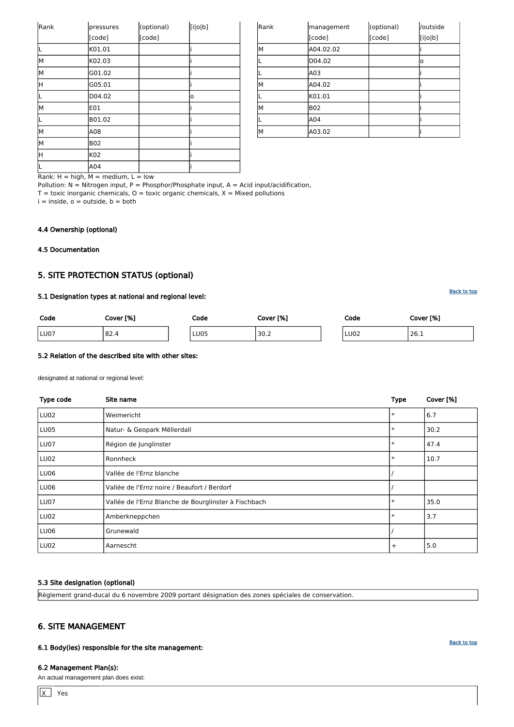| Rank | management | (optional) | /outside |
|------|------------|------------|----------|
|      | [code]     | [code]     | [i o b]  |
| M    | A04.02.02  |            |          |
|      | D04.02     |            | o        |
|      | A03        |            |          |
| M    | A04.02     |            |          |
|      | K01.01     |            |          |
| M    | <b>B02</b> |            |          |
|      | A04        |            |          |
| M    | A03.02     |            |          |

Rank:  $H = high$ ,  $M = medium$ ,  $L = low$ 

Pollution:  $N = N$ itrogen input, P = Phosphor/Phosphate input, A = Acid input/acidification,

 $T =$  toxic inorganic chemicals,  $O =$  toxic organic chemicals,  $X =$  Mixed pollutions

 $i =$  inside,  $o =$  outside,  $b =$  both

| Rank | pressures  | (optional) | [i o b] |
|------|------------|------------|---------|
|      | [code]     | [code]     |         |
|      | K01.01     |            |         |
| lм   | K02.03     |            |         |
| İМ   | G01.02     |            |         |
| lн   | G05.01     |            |         |
| IL   | D04.02     |            | о       |
| lм   | E01        |            |         |
| IL   | B01.02     |            |         |
| lм   | A08        |            |         |
| İМ   | <b>B02</b> |            |         |
| lн   | K02        |            |         |
| IL   | A04        |            |         |

#### 4.4 Ownership (optional)

<span id="page-5-0"></span>4.5 Documentation

## 5. SITE PROTECTION STATUS (optional)

#### 5.1 Designation types at national and regional level:

# Code Cover [%] Code Cover [%] Code Cover [%] LU07 82.4 LU05 30.2 LU02 26.1

 $\lfloor x \rfloor$ Yes

#### **[Back to top](#page-0-0)**

### 5.2 Relation of the described site with other sites:

designated at national or regional level:

| Type code   | Site name                                            | <b>Type</b> | Cover [%] |
|-------------|------------------------------------------------------|-------------|-----------|
| LU02        | Weimericht                                           | $\ast$      | 6.7       |
| LU05        | Natur- & Geopark Mëllerdall                          | $\ast$      | 30.2      |
| LU07        | Région de Junglinster                                | $\ast$      | 47.4      |
| <b>LU02</b> | Ronnheck                                             | $\ast$      | 10.7      |
| LU06        | Vallée de l'Ernz blanche                             |             |           |
| LU06        | Vallée de l'Ernz noire / Beaufort / Berdorf          |             |           |
| LU07        | Vallée de l'Ernz Blanche de Bourglinster à Fischbach | $\ast$      | 35.0      |
| LU02        | Amberkneppchen                                       | $\ast$      | 3.7       |
| LU06        | Grunewald                                            |             |           |
| LU02        | Aarnescht                                            | $+$         | 5.0       |

#### 5.3 Site designation (optional)

Règlement grand-ducal du 6 novembre 2009 portant désignation des zones spéciales de conservation.

## <span id="page-5-1"></span>6. SITE MANAGEMENT

6.1 Body(ies) responsible for the site management:

#### 6.2 Management Plan(s):

An actual management plan does exist: